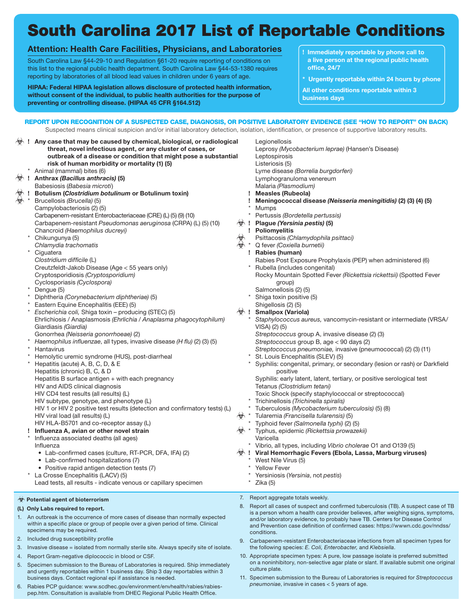# South Carolina 2017 List of Reportable Conditions

#### **Attention: Health Care Facilities, Physicians, and Laboratories**

South Carolina Law §44-29-10 and Regulation §61-20 require reporting of conditions on this list to the regional public health department. South Carolina Law §44-53-1380 requires reporting by laboratories of all blood lead values in children under 6 years of age.

**HIPAA: Federal HIPAA legislation allows disclosure of protected health information, without consent of the individual, to public health authorities for the purpose of preventing or controlling disease. (HIPAA 45 CFR §164.512)**

- **! Immediately reportable by phone call to a live person at the regional public health office, 24/7**
- **\* Urgently reportable within 24 hours by phone**

**All other conditions reportable within 3 business days**

#### REPORT UPON RECOGNITION OF A SUSPECTED CASE, DIAGNOSIS, OR POSITIVE LABORATORY EVIDENCE (SEE "HOW TO REPORT" ON BACK) Suspected means clinical suspicion and/or initial laboratory detection, isolation, identification, or presence of supportive laboratory results.

|                          |            | $\hat{\otimes}$ ! Any case that may be caused by chemical, biological, or radiological  |                      | Legionellosis                                                                                                                                                             |
|--------------------------|------------|-----------------------------------------------------------------------------------------|----------------------|---------------------------------------------------------------------------------------------------------------------------------------------------------------------------|
|                          |            | threat, novel infectious agent, or any cluster of cases, or                             |                      | Leprosy (Mycobacterium leprae) (Hansen's Disease)                                                                                                                         |
|                          |            | outbreak of a disease or condition that might pose a substantial                        |                      | Leptospirosis                                                                                                                                                             |
|                          |            | risk of human morbidity or mortality (1) (5)                                            |                      | Listeriosis (5)                                                                                                                                                           |
|                          |            | Animal (mammal) bites (6)                                                               |                      | Lyme disease (Borrelia burgdorferi)                                                                                                                                       |
|                          |            | $\overleftrightarrow{\mathcal{D}}$ ! Anthrax (Bacillus anthracis) (5)                   |                      | Lymphogranuloma venereum                                                                                                                                                  |
|                          |            | Babesiosis (Babesia microti)                                                            |                      | Malaria (Plasmodium)                                                                                                                                                      |
| 受!                       |            | Botulism (Clostridium botulinum or Botulinum toxin)                                     |                      |                                                                                                                                                                           |
| $\overline{\mathcal{R}}$ |            |                                                                                         |                      | <b>Measles (Rubeola)</b>                                                                                                                                                  |
|                          |            | Brucellosis (Brucella) (5)                                                              |                      | Meningococcal disease (Neisseria meningitidis) (2) (3) (4) (5)                                                                                                            |
|                          |            | Campylobacteriosis (2) (5)                                                              |                      | Mumps                                                                                                                                                                     |
|                          |            | Carbapenem-resistant Enterobacteriaceae (CRE) (L) (5) (9) (10)                          |                      | Pertussis (Bordetella pertussis)                                                                                                                                          |
|                          |            | Carbapenem-resistant Pseudomonas aeruginosa (CRPA) (L) (5) (10)                         |                      | √ ! Plague (Yersinia pestis) (5)                                                                                                                                          |
|                          |            | Chancroid (Haemophilus ducreyi)                                                         |                      | ! Poliomyelitis                                                                                                                                                           |
|                          |            | Chikungunya (5)                                                                         |                      | Psittacosis (Chlamydophila psittaci)                                                                                                                                      |
|                          |            | Chlamydia trachomatis                                                                   | ₩                    | Q fever (Coxiella burnetii)                                                                                                                                               |
|                          | $^{\star}$ | Ciguatera                                                                               |                      | ! Rabies (human)                                                                                                                                                          |
|                          |            | Clostridium difficile (L)                                                               |                      | Rabies Post Exposure Prophylaxis (PEP) when administered (6)                                                                                                              |
|                          |            |                                                                                         |                      |                                                                                                                                                                           |
|                          |            | Creutzfeldt-Jakob Disease (Age < 55 years only)                                         |                      | Rubella (includes congenital)                                                                                                                                             |
|                          |            | Cryptosporidiosis (Cryptosporidium)                                                     |                      | Rocky Mountain Spotted Fever (Rickettsia rickettsii) (Spotted Fever                                                                                                       |
|                          |            | Cyclosporiasis (Cyclospora)                                                             |                      | group)                                                                                                                                                                    |
|                          |            | * Dengue (5)                                                                            |                      | Salmonellosis (2) (5)                                                                                                                                                     |
|                          |            | Diphtheria (Corynebacterium diphtheriae) (5)                                            |                      | Shiga toxin positive (5)                                                                                                                                                  |
|                          |            | Eastern Equine Encephalitis (EEE) (5)                                                   |                      | Shigellosis (2) (5)                                                                                                                                                       |
|                          |            | Escherichia coli, Shiga toxin - producing (STEC) (5)                                    |                      | $\Diamond$ ! Smallpox (Variola)                                                                                                                                           |
|                          |            | Ehrlichiosis / Anaplasmosis (Ehrlichia / Anaplasma phagocytophilum)                     |                      | Staphylococcus aureus, vancomycin-resistant or intermediate (VRSA/                                                                                                        |
|                          |            | Giardiasis (Giardia)                                                                    |                      | VISA) (2) (5)                                                                                                                                                             |
|                          |            |                                                                                         |                      | Streptococcus group A, invasive disease (2) (3)                                                                                                                           |
|                          |            | Gonorrhea (Neisseria gonorrhoeae) (2)                                                   |                      |                                                                                                                                                                           |
|                          |            | Haemophilus influenzae, all types, invasive disease (H flu) (2) (3) (5)                 |                      | Streptococcus group B, age < 90 days (2)                                                                                                                                  |
|                          |            | Hantavirus                                                                              |                      | Streptococcus pneumoniae, invasive (pneumococcal) (2) (3) (11)                                                                                                            |
|                          |            | Hemolytic uremic syndrome (HUS), post-diarrheal                                         |                      | St. Louis Encephalitis (SLEV) (5)                                                                                                                                         |
|                          |            | Hepatitis (acute) A, B, C, D, & E                                                       |                      | Syphilis: congenital, primary, or secondary (lesion or rash) or Darkfield                                                                                                 |
|                          |            | Hepatitis (chronic) B, C, & D                                                           |                      | positive                                                                                                                                                                  |
|                          |            | Hepatitis B surface antigen + with each pregnancy                                       |                      | Syphilis: early latent, latent, tertiary, or positive serological test                                                                                                    |
|                          |            | HIV and AIDS clinical diagnosis                                                         |                      | Tetanus (Clostridium tetani)                                                                                                                                              |
|                          |            | HIV CD4 test results (all results) (L)                                                  |                      | Toxic Shock (specify staphylococcal or streptococcal)                                                                                                                     |
|                          |            | HIV subtype, genotype, and phenotype (L)                                                |                      | Trichinellosis (Trichinella spiralis)                                                                                                                                     |
|                          |            | HIV 1 or HIV 2 positive test results (detection and confirmatory tests) (L)             |                      | Tuberculosis (Mycobacterium tuberculosis) (5) (8)                                                                                                                         |
|                          |            |                                                                                         |                      |                                                                                                                                                                           |
|                          |            | HIV viral load (all results) (L)                                                        | $\rightsquigarrow$ * | Tularemia (Francisella tularensis) (5)                                                                                                                                    |
|                          |            | HIV HLA-B5701 and co-receptor assay (L)                                                 |                      | Typhoid fever (Salmonella typhi) (2) (5)                                                                                                                                  |
|                          |            | Influenza A, avian or other novel strain                                                | ৻ক্≯ *               | Typhus, epidemic (Rickettsia prowazekii)                                                                                                                                  |
|                          |            | Influenza associated deaths (all ages)                                                  |                      | Varicella                                                                                                                                                                 |
|                          |            | Influenza                                                                               |                      | * Vibrio, all types, including Vibrio cholerae O1 and O139 (5)                                                                                                            |
|                          |            | • Lab-confirmed cases (culture, RT-PCR, DFA, IFA) (2)                                   |                      | ♡ ! Viral Hemorrhagic Fevers (Ebola, Lassa, Marburg viruses)                                                                                                              |
|                          |            | • Lab-confirmed hospitalizations (7)                                                    |                      | West Nile Virus (5)                                                                                                                                                       |
|                          |            | • Positive rapid antigen detection tests (7)                                            |                      | <b>Yellow Fever</b>                                                                                                                                                       |
|                          |            | La Crosse Encephalitis (LACV) (5)                                                       |                      | Yersiniosis (Yersinia, not pestis)                                                                                                                                        |
|                          |            | Lead tests, all results - indicate venous or capillary specimen                         |                      |                                                                                                                                                                           |
|                          |            |                                                                                         |                      | Zika (5)                                                                                                                                                                  |
|                          |            |                                                                                         |                      | 7. Report aggregate totals weekly.                                                                                                                                        |
|                          |            | † Potential agent of bioterrorism                                                       |                      |                                                                                                                                                                           |
|                          |            | (L) Only Labs required to report.                                                       |                      | 8. Report all cases of suspect and confirmed tuberculosis (TB). A suspect case of TB<br>is a person whom a health care provider believes, after weighing signs, symptoms, |
|                          |            | 1. An outbreak is the occurrence of more cases of disease than normally expected        |                      | and/or laboratory evidence, to probably have TB. Centers for Disease Control                                                                                              |
|                          |            | within a specific place or group of people over a given period of time. Clinical        |                      | and Prevention case definition of confirmed cases: https://wwwn.cdc.gov/nndss/                                                                                            |
|                          |            | specimens may be required.                                                              |                      | conditions.                                                                                                                                                               |
| 2.                       |            | Included drug susceptibility profile                                                    |                      |                                                                                                                                                                           |
|                          |            |                                                                                         |                      | 9. Carbapenem-resistant Enterobacteriaceae infections from all specimen types for                                                                                         |
| 3.                       |            | Invasive disease = isolated from normally sterile site. Always specify site of isolate. |                      | the following species: E. Coli, Enterobacter, and Klebsiella.                                                                                                             |
| 4.                       |            | Report Gram-negative diplococcic in blood or CSF.                                       |                      | 10. Appropriate specimen types: A pure, low passage isolate is preferred submitted                                                                                        |
|                          |            | Concimen aubmission to the Pureau of Laboratories is required. Chin immediately         |                      | on a noninhibitory, non-selective agar plate or slant. If available submit one original                                                                                   |

culture plate.

11. Specimen submission to the Bureau of Laboratories is required for *Streptococcus* 

*pneumoniae*, invasive in cases < 5 years of age.

- 5. Specimen submission to the Bureau of Laboratories is required. Ship immediately and urgently reportables within 1 business day. Ship 3 day reportables within 3 business days. Contact regional epi if assistance is needed.
- 6. Rabies PCP guidance: www.scdhec.gov/environment/envhealth/rabies/rabiespep.htm. Consultation is available from DHEC Regional Public Health Office.